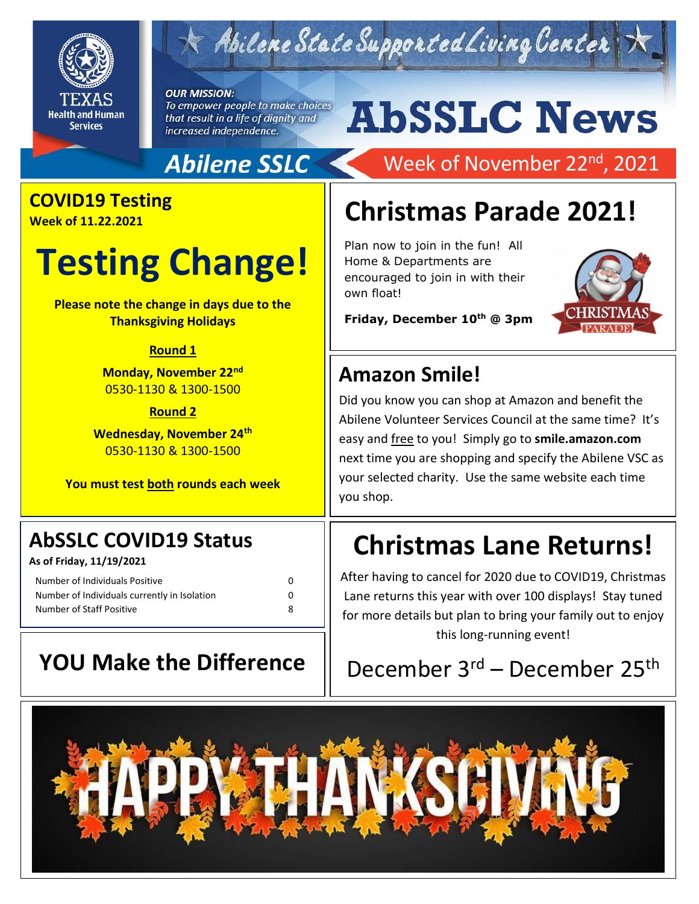

# Abilene State Supported Living Center

### **OUR MISSION:**

To empower people to make choices that result in a life of dignity and increased independence.

# **AbSSLC News**

### **Abilene SSLC**

### **COVID19 Testing**

**Week of 11.22.2021**

# **Testing Change!**

**Please note the change in days due to the Thanksgiving Holidays**

### **Round 1**

**Monday, November 22nd** 0530-1130 & 1300-1500

### **Round 2**

**Wednesday, November 24th** 0530-1130 & 1300-1500

**You must test both rounds each week**

### **AbSSLC COVID19 Status**

**As of Friday, 11/19/2021**

| Number of Individuals Positive               | 0 |
|----------------------------------------------|---|
| Number of Individuals currently in Isolation | n |
| Number of Staff Positive                     | я |

## Week of November 22<sup>nd</sup>, 2021

## **Christmas Parade 2021!**

Plan now to join in the fun! All Home & Departments are encouraged to join in with their own float!



**Friday, December 10th @ 3pm**

### **Amazon Smile!**

easy and <u>nee</u> to you: Simply go to **simie.amazon.com**<br>next time you are shopping and specify the Abilene VSC as Did you know you can shop at Amazon and benefit the Abilene Volunteer Services Council at the same time? It's easy and free to you! Simply go to **smile.amazon.com** your selected charity. Use the same website each time you shop.

## **Christmas Lane Returns!**

After having to cancel for 2020 due to COVID19, Christmas Lane returns this year with over 100 displays! Stay tuned for more details but plan to bring your family out to enjoy this long-running event!

## **YOU Make the Difference**  $\parallel$  December 3<sup>rd</sup> – December 25<sup>th</sup>